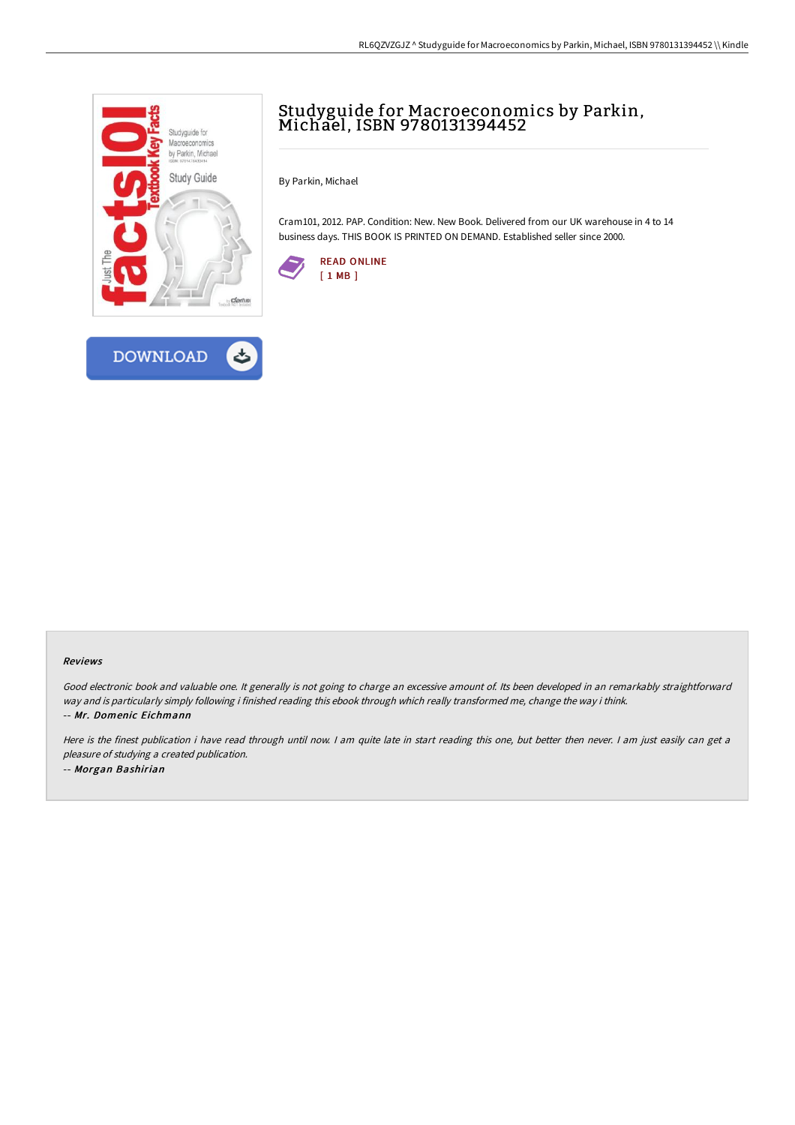

**DOWNLOAD** 



By Parkin, Michael

Cram101, 2012. PAP. Condition: New. New Book. Delivered from our UK warehouse in 4 to 14 business days. THIS BOOK IS PRINTED ON DEMAND. Established seller since 2000.





Good electronic book and valuable one. It generally is not going to charge an excessive amount of. Its been developed in an remarkably straightforward way and is particularly simply following i finished reading this ebook through which really transformed me, change the way i think. -- Mr. Domenic Eichmann

Here is the finest publication i have read through until now. I am quite late in start reading this one, but better then never. I am just easily can get a pleasure of studying <sup>a</sup> created publication. -- Morgan Bashirian